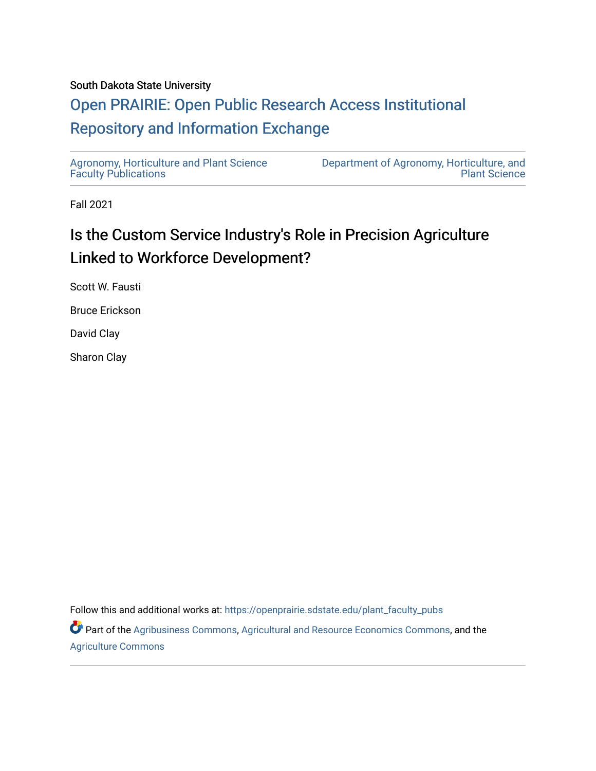#### South Dakota State University

## [Open PRAIRIE: Open Public Research Access Institutional](https://openprairie.sdstate.edu/)  [Repository and Information Exchange](https://openprairie.sdstate.edu/)

[Agronomy, Horticulture and Plant Science](https://openprairie.sdstate.edu/plant_faculty_pubs)  [Faculty Publications](https://openprairie.sdstate.edu/plant_faculty_pubs)

[Department of Agronomy, Horticulture, and](https://openprairie.sdstate.edu/plant)  [Plant Science](https://openprairie.sdstate.edu/plant) 

Fall 2021

# Is the Custom Service Industry's Role in Precision Agriculture Linked to Workforce Development?

Scott W. Fausti

Bruce Erickson

David Clay

Sharon Clay

Follow this and additional works at: [https://openprairie.sdstate.edu/plant\\_faculty\\_pubs](https://openprairie.sdstate.edu/plant_faculty_pubs?utm_source=openprairie.sdstate.edu%2Fplant_faculty_pubs%2F382&utm_medium=PDF&utm_campaign=PDFCoverPages)

Part of the [Agribusiness Commons,](http://network.bepress.com/hgg/discipline/1051?utm_source=openprairie.sdstate.edu%2Fplant_faculty_pubs%2F382&utm_medium=PDF&utm_campaign=PDFCoverPages) [Agricultural and Resource Economics Commons,](http://network.bepress.com/hgg/discipline/317?utm_source=openprairie.sdstate.edu%2Fplant_faculty_pubs%2F382&utm_medium=PDF&utm_campaign=PDFCoverPages) and the [Agriculture Commons](http://network.bepress.com/hgg/discipline/1076?utm_source=openprairie.sdstate.edu%2Fplant_faculty_pubs%2F382&utm_medium=PDF&utm_campaign=PDFCoverPages)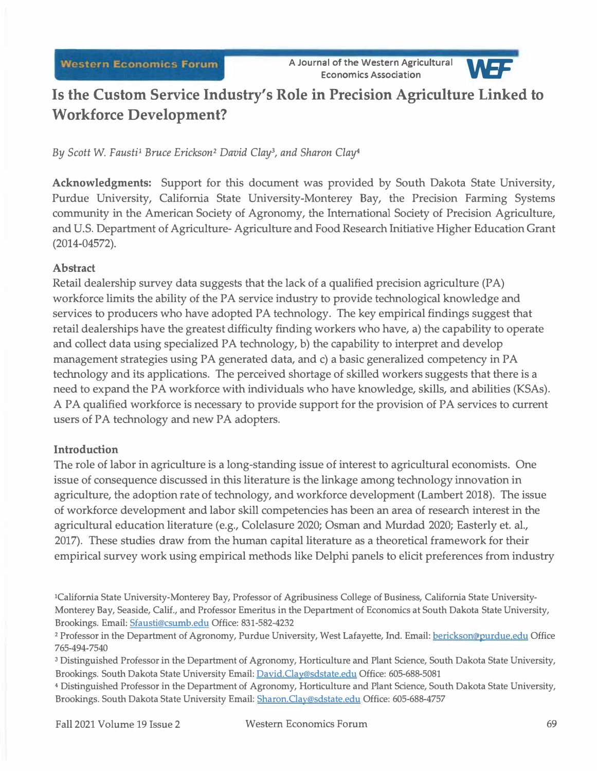

## **Is the Custom Service Industry's Role in Precision Agriculture Linked to Workforce Development?**

### *By Scott* W. *Fausti1 Bruce Erickson2 David Clay<sup>3</sup> , and Sharon Clay<sup>4</sup>*

**Acknowledgments:** Support for this document was provided by South Dakota State University, Purdue University, California State University-Monterey Bay, the Precision Farming Systems community in the American Society of Agronomy, the International Society of Precision Agriculture, and U.S. Department of Agriculture- Agriculture and Food Research Initiative Higher Education Grant (2014-04572).

#### **Abstract**

Retail dealership survey data suggests that the lack of a qualified precision agriculture (PA) workforce limits the ability of the PA service industry to provide technological knowledge and services to producers who have adopted PA technology. The key empirical findings suggest that retail dealerships have the greatest difficulty finding workers who have, a) the capability to operate and collect data using specialized PA technology, b) the capability to interpret and develop management strategies using PA generated data, and c) a basic generalized competency in PA technology and its applications. The perceived shortage of skilled workers suggests that there is a need to expand the PA workforce with individuals who have knowledge, skills, and abilities (KSAs). A PA qualified workforce is necessary to provide support for the provision of PA services to current users of PA technology and new PA adopters.

### **Introduction**

The role of labor in agriculture is a long-standing issue of interest to agricultural economists. One issue of consequence discussed in this literature is the linkage among technology innovation in agriculture, the adoption rate of technology, and workforce development (Lambert 2018). The issue of workforce development and labor skill competencies has been an area of research interest in the agricultural education literature ( e.g., Colelasure 2020; Osman and Murdad 2020; Easterly et. al., 2017). These studies draw from the human capital literature as a theoretical framework for their empirical survey work using empirical methods like Delphi panels to elicit preferences from industry

**<sup>1</sup>**California State University-Monterey Bay, Professor of Agribusiness College of Business, California State University-Monterey Bay, Seaside, Calif., and Professor Emeritus in the Department of Economics at South Dakota State University, Brookings. Email: Sfausti@csurnb.edu Office: 831-582-4232

**<sup>2</sup>**Professor in the Department of Agronomy, Purdue University, West Lafayette, Ind. Email: berickson@purdue.edu Office 7 65-494-7540

**<sup>3</sup>**Distinguished Professor in the Department of Agronomy, Horticulture and Plant Science, South Dakota State University, Brookings. South Dakota State University Email: David.Clay@sdstate.edu Office: 605-688-5081

**<sup>4</sup>**Distinguished Professor in the Department of Agronomy, Horticulture and Plant Science, South Dakota State University, Brookings. South Dakota State University Email: Sharon.Clay@sdstate.edu Office: 605-688-4757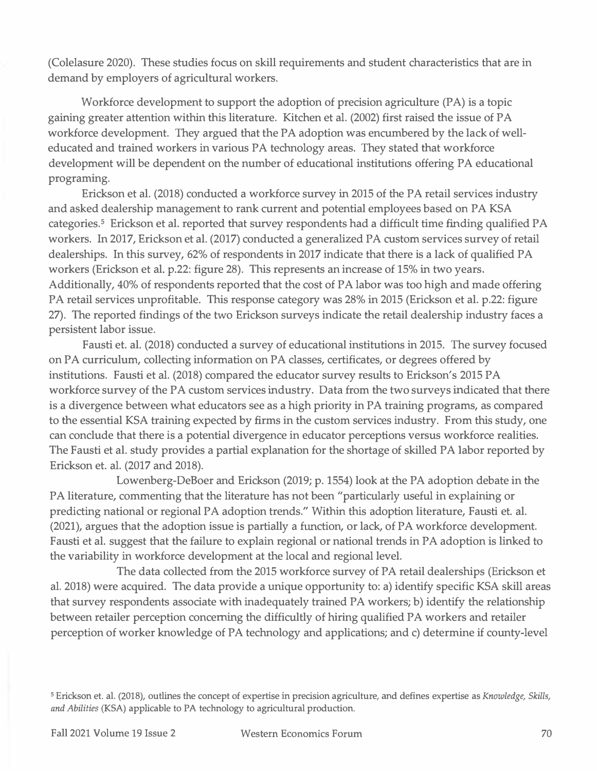**(Colelasure 2020). These studies focus on skill requirements and student characteristics that are in demand by employers of agricultural workers.** 

**Workforce development to support the adoption of precision agriculture (PA) is a topic gaining greater attention within this literature. Kitchen et al. (2002) first raised the issue of PA workforce development. They argued that the PA adoption was encumbered by the lack of welleducated and trained workers in various PA technology areas. They stated that workforce development will be dependent on the number of educational institutions offering PA educational programing.** 

**Erickson et al. (2018) conducted a workforce survey in 2015 of the PA retail services industry and asked dealership management to rank current and potential employees based on PA KSA categories. 5 Erickson et al. reported that survey respondents had a difficult time finding qualified PA workers. In 2017, Erickson et al. (2017) conducted a generalized PA custom services survey of retail dealerships. In this survey, 62% of respondents in 2017 indicate that there is a lack of qualified PA workers (Erickson et al. p.22: figure 28). This represents an increase of 15% in two years. Additionally, 40% of respondents reported that the cost of PA labor was too high and made offering PA retail services unprofitable. This response category was 28% in 2015 (Erickson et al. p.22: fi**gur**e 27). The reported findings of the two Erickson surveys indicate the retail dealership industry faces a persistent labor issue.** 

**Fausti et. al. (2018) conducted a survey of educational institutions in 2015. The survey focused on PA curriculum, collecting information on PA classes, certificates, or degrees offered by institutions. Fausti et al. (2018) compared the educator survey results to Erickson's 2015 PA workforce survey of the PA custom services industry. Data from the two surveys indicated that there is a divergence between what educators see as a high priority in PA training programs, as compared to the essential KSA training expected by firms in the custom services industry. From this study, one can conclude that there is a potential divergence in educator perceptions versus workforce realities. The Fausti et al. study provides a partial explanation for the shortage of skilled PA labor reported by Erickson et. al. (2017 and 2018).** 

**Lowenberg-DeBoer and Erickson (2019; p. 1554) look at the PA adoption debate in the PA literature, commenting that the literature has not been "particularly useful in explaining or predicting national or regional PA adoption trends." Within this adoption literature, Fausti et. al. (2021), argues that the adoption issue is partially a function, or lack, of PA workforce development. Fausti et al. suggest that the failure to explain regional or national trends in PA adoption is linked to the variability in workforce development at the local and regional level.** 

**The data collected from the 2015 workforce survey of PA retail dealerships (Erickson et al. 2018) were acquired. The data provide a unique opportunity to: a) identify specific KSA skill areas that survey respondents associate with inadequately trained PA workers; b) identify the relationship between retailer perception concerning the difficultly of hiring qualified PA workers and retailer perception of worker knowledge of PA technology and applications; and c) determine if county-level** 

**<sup>5</sup>**Erickson et. al. (2018), outlines the concept of expertise in precision agriculture, and defines expertise as *Knowledge, Skills, and Abilities* (KSA) applicable to PA technology to agricultural production.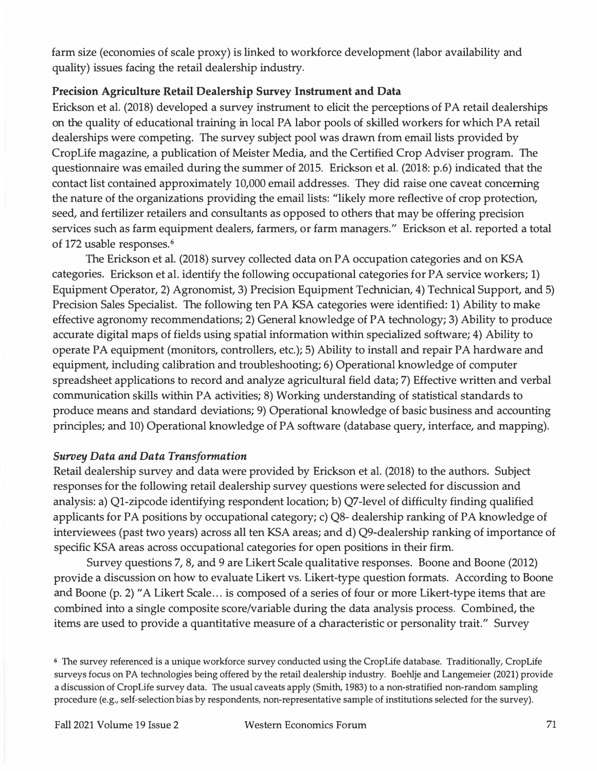farm size (economies of scale proxy) is linked to workforce development (labor availability and quality) issues facing the retail dealership industry.

#### **Precision Agriculture Retail Dealership Survey Instrument and Data**

Erickson et al. (2018) developed a survey instrument to elicit the perceptions of PA retail dealerships on the quality of educational training in local PA labor pools of skilled workers for which PA retail dealerships were competing. The survey subject pool was drawn from email lists provided by CropLife magazine, a publication of Meister Media, and the Certified Crop Adviser program. The questionnaire was emailed during the summer of 2015. Erickson et al. (2018: p.6) indicated that the contact list contained approximately 10,000 email addresses. They did raise one caveat concerning the nature of the organizations providing the email lists: "likely more reflective of crop protection, seed, and fertilizer retailers and consultants as opposed to others that may be offering precision services such as farm equipment dealers, farmers, or farm managers." Erickson et al. reported a total of 172 usable responses. **<sup>6</sup>**

The Erickson et al. (2018) survey collected data on PA occupation categories and on KSA categories. Erickson et al. identify the following occupational categories for PA service workers; 1) Equipment Operator, 2) Agronomist, 3) Precision Equipment Technician, 4) Technical Support, and 5) Precision Sales Specialist. The following ten PA KSA categories were identified: 1) Ability to make effective agronomy recommendations; 2) General knowledge of PA technology; 3) Ability to produce accurate digital maps of fields using spatial information within specialized software; 4) Ability to operate PA equipment (monitors, controllers, etc.); 5) Ability to install and repair PA hardware and equipment, including calibration and troubleshooting; 6) Operational knowledge of computer spreadsheet applications to record and analyze agricultural field data; 7) Effective written and verbal communication skills within PA activities; 8) Working understanding of statistical standards to produce means and standard deviations; 9) Operational knowledge of basic business and accounting principles; and 10) Operational knowledge of PA software ( database query, interface, and mapping).

#### *Survey Data and Data Transformation*

Retail dealership survey and data were provided by Erickson et al. (2018) to the authors. Subject responses for the following retail dealership survey questions were selected for discussion and analysis: a) Ql-zipcode identifying respondent location; b) Q7-level of difficulty finding qualified applicants for PA positions by occupational category; c) Q8- dealership ranking of PA knowledge of interviewees (past two years) across all ten KSA areas; and d) Q9-dealership ranking of importance of specific KSA areas across occupational categories for open positions in their firm.

Survey questions 7, 8, and 9 are Likert Scale qualitative responses. Boone and Boone (2012) provide a discussion on how to evaluate Likert vs. Likert-type question formats. According to Boone and Boone (p. 2) "A Likert Scale ... is composed of a series of four or more Likert-type items that are combined into a single composite score/variable during the data analysis process. Combined, the items are used to provide a quantitative measure of a characteristic or personality trait." Survey

<sup>6</sup>The survey referenced is a unique workforce survey conducted using the CropLife database. Traditionally, CropLife surveys focus on PA technologies being offered by the retail dealership industry. Boehlje and Langemeier (2021) provide a discussion of CropLife survey data. The usual caveats apply (Smith, 1983) to a non-stratified non-random sampling procedure (e.g., self-selection bias by respondents, non-representative sample of institutions selected for the survey).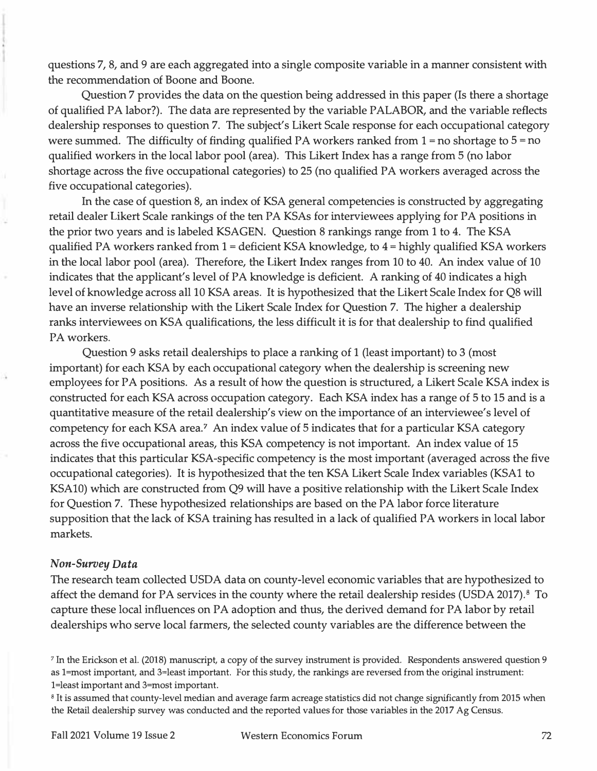questions 7, 8, and 9 are each aggregated into a single composite variable in a manner consistent with the recommendation of Boone and Boone.

Question 7 provides the data on the question being addressed in this paper (Is there a shortage of qualified PA labor?). The data are represented by the variable PALABOR, and the variable reflects dealership responses to question 7. The subject's Likert Scale response for each occupational category were summed. The difficulty of finding qualified PA workers ranked from 1 **=** no shortage to 5 **=** no qualified workers in the local labor pool (area). This Likert Index has a range from 5 (no labor shortage across the five occupational categories) to 25 (no qualified PA workers averaged across the five occupational categories).

In the case of question 8, an index of KSA general competencies is constructed by aggregating retail dealer Likert Scale rankings of the ten PA KSAs for interviewees applying for PA positions in the prior two years and is labeled KSAGEN. Question 8 rankings range from 1 to 4. The KSA qualified PA workers ranked from 1 **=** deficient KSA knowledge, to 4 **=** highly qualified KSA workers in the local labor pool (area). Therefore, the Likert Index ranges from 10 to 40. An index value of 10 indicates that the applicant's level of PA knowledge is deficient. A ranking of 40 indicates a high level of knowledge across all 10 KSA areas. It is hypothesized that the Likert Scale Index for Q8 will have an inverse relationship with the Likert Scale Index for Question 7. The higher a dealership ranks interviewees on KSA qualifications, the less difficult it is for that dealership to find qualified PA workers.

Question 9 asks retail dealerships to place a ranking of 1 (least important) to 3 (most important) for each KSA by each occupational category when the dealership is screening new employees for PA positions. As a result of how the question is structured, a Likert Scale KSA index is constructed for each KSA across occupation category. Each KSA index has a range of 5 to 15 and is a quantitative measure of the retail dealership's view on the importance of an interviewee's level of competency for each KSA area. **7** An index value of 5 indicates that for a particular KSA category across the five occupational areas, this KSA competency is not important. An index value of 15 indicates that this particular KSA-specific competency is the most important (averaged across the five occupational categories). It is hypothesized that the ten KSA Likert Scale Index variables (KSAl to KSAlO) which are constructed from Q9 will have a positive relationship with the Likert Scale Index for Question 7. These hypothesized relationships are based on the PA labor force literature supposition that the lack of KSA training has resulted in a lack of qualified PA workers in local labor markets.

#### *Non-Survey Data*

The research team collected USDA data on county-level economic variables that are hypothesized to affect the demand for PA services in the county where the retail dealership resides (USDA 2017). **8** To capture these local influences on PA adoption and thus, the derived demand for PA labor by retail dealerships who serve local farmers, the selected county variables are the difference between the

**<sup>8</sup>**It is assumed that county-level median and average farm acreage statistics did not change significantly from 2015 when the Retail dealership survey was conducted and the reported values for those variables in the 2017 Ag Census.

**<sup>7</sup>**In the Erickson et al. (2018) manuscript, a copy of the survey instrument is provided. Respondents answered question 9 as l=most important, and 3=least important. For this study, the rankings are reversed from the original instrument: l=least important and 3=most important.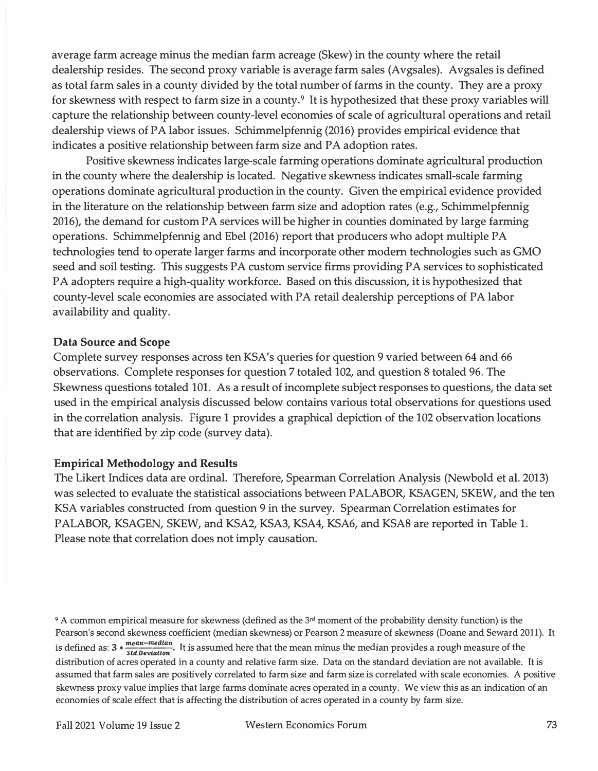average farm acreage minus the median farm acreage (Skew) in the county where the retail dealership resides. The second proxy variable is average farm sales (Avgsales). Avgsales is defined as total farm sales in a county divided by the total number of farms in the county. They are a proxy for skewness with respect to farm size in a county.**9** It is hypothesized that these proxy variables will capture the relationship between county-level economies of scale of agricultural operations and retail dealership views of PA labor issues. Schimmelpfennig (2016) provides empirical evidence that indicates a positive relationship between farm size and PA adoption rates.

Positive skewness indicates large-scale farming operations dominate agricultural production in the county where the dealership is located. Negative skewness indicates small-scale farming operations dominate agricultural production in the county. Given the empirical evidence provided in the literature on the relationship between farm size and adoption rates (e.g., Schimmelpfennig 2016), the demand for custom PA services will be higher in counties dominated by large farming operations. Schimmelpfennig and Ebel (2016) report that producers who adopt multiple PA technologies tend to operate larger farms and incorporate other modem technologies such as GMO seed and soil testing. This suggests PA custom service firms providing PA services to sophisticated PA adopters require a high-quality workforce. Based on this discussion, it is hypothesized that county-level scale economies are associated with PA retail dealership perceptions of PA labor availability and quality.

#### **Data Source and Scope**

Complete survey responses across ten KSA's queries for question 9 varied between 64 and 66 observations. Complete responses for question 7 totaled 102, and question 8 totaled 96. The Skewness questions totaled 101. As a result of incomplete subject responses to questions, the data set used in the empirical analysis discussed below contains various total observations for questions used in the correlation analysis. Figure 1 provides a graphical depiction of the 102 observation locations that are identified by zip code (survey data).

#### **Empirical Methodology and Results**

The Likert Indices data are ordinal. Therefore, Spearman Correlation Analysis (Newbold et al. 2013) was selected to evaluate the statistical associations between PALABOR, KSAGEN, SKEW, and the ten KSA variables constructed from question 9 in the survey. Spearman Correlation estimates for PALABOR, KSAGEN, SKEW, and KSA2, KSA3, KSA4, KSA6, and KSA8 are reported in Table 1. Please note that correlation does not imply causation.

<sup>9</sup> A common empirical measure for skewness (defined as the  $3^{rd}$  moment of the probability density function) is the Pearson's second skewness coefficient (median skewness) or Pearson 2 measure of skewness (Doane and Seward 2011). **It**  is defined as:  $3 * \frac{mean - median}{stdtan}$ . It is assumed here that the mean minus the median provides a rough measure of the distribution of acres operated in a county and relative farm size. Data on the standard deviation are not available. **It** is assumed that farm sales are positively correlated to farm size and farm size is correlated with scale economies. A positive skewness proxy value implies that large farms dominate acres operated in a county. We view this as an indication of an economies of scale effect that is affecting the distribution of acres operated in a county by farm size.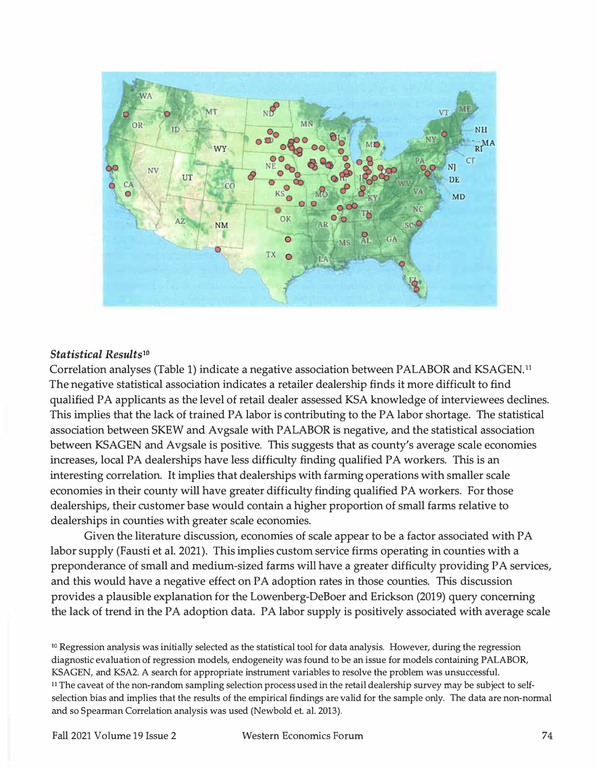

#### *Statistical Results<sup>10</sup>*

Correlation analyses (Table 1) indicate a negative association between PALABOR and KSAGEN. <sup>11</sup> The negative statistical association indicates a retailer dealership finds it more difficult to find qualified PA applicants as the level of retail dealer assessed KSA knowledge of interviewees declines. This implies that the lack of trained PA labor is contributing to the PA labor shortage. The statistical association between SKEW and Avgsale with PALABOR is negative, and the statistical association between KSAGEN and Avgsale is positive. This suggests that as county's average scale economies increases, local PA dealerships have less difficulty finding qualified PA workers. This is an interesting correlation. It implies that dealerships with farming operations with smaller scale economies in their county will have greater difficulty finding qualified PA workers. For those dealerships, their customer base would contain a higher proportion of small farms relative to dealerships in counties with greater scale economies.

Given the literature discussion, economies of scale appear to be a factor associated with PA labor supply (Fausti et al. 2021). This implies custom service firms operating in counties with a preponderance of small and medium-sized farms will have a greater difficulty providing PA services, and this would have a negative effect on PA adoption rates in those counties. This discussion provides a plausible explanation for the Lowenberg-DeBoer and Erickson (2019) query concerning the lack of trend in the PA adoption data. PA labor supply is positively associated with average scale

<sup>10</sup> Regression analysis was initially selected as the statistical tool for data analysis. However, during the regression diagnostic evaluation of regression models, endogeneity was found to be an issue for models containing PALABOR, KSAGEN, and KSA2. A search for appropriate instrument variables to resolve the problem was unsuccessful. **11** The caveat of the non-random sampling selection process used in the retail dealership survey may be subject to selfselection bias and implies that the results of the empirical findings are valid for the sample only. The data are non-normal and so Spearman Correlation analysis was used (Newbold et. al. 2013).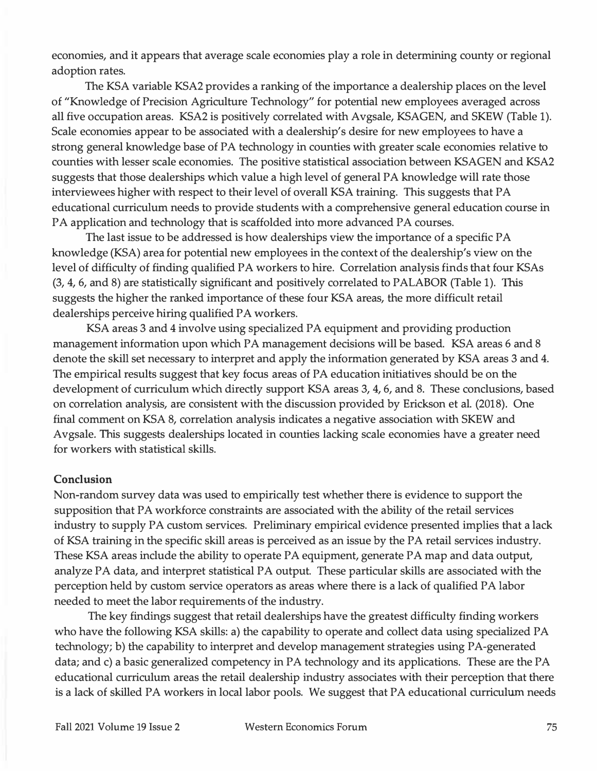economies, and it appears that average scale economies play a role in determining county or regional adoption rates.

The KSA variable KSA2 provides a ranking of the importance a dealership places on the level of "Knowledge of Precision Agriculture Technology" for potential new employees averaged across all five occupation areas. KSA2 is positively correlated with Avgsale, KSAGEN, and SKEW (Table 1). Scale economies appear to be associated with a dealership's desire for new employees to have a strong general knowledge base of PA technology in counties with greater scale economies relative to counties with lesser scale economies. The positive statistical association between KSAGEN and KSA2 suggests that those dealerships which value a high level of general PA knowledge will rate those interviewees higher with respect to their level of overall KSA training. This suggests that PA educational curriculum needs to provide students with a comprehensive general education course in PA application and technology that is scaffolded into more advanced PA courses.

The last issue to be addressed is how dealerships view the importance of a specific PA knowledge (KSA) area for potential new employees in the context of the dealership's view on the level of difficulty of finding qualified PA workers to hire. Correlation analysis finds that four KSAs (3, 4, 6, and 8) are statistically significant and positively correlated to PALABOR (Table 1). This suggests the higher the ranked importance of these four KSA areas, the more difficult retail dealerships perceive hiring qualified PA workers.

KSA areas 3 and 4 involve using specialized PA equipment and providing production management information upon which PA management decisions will be based. KSA areas 6 and 8 denote the skill set necessary to interpret and apply the information generated by KSA areas 3 and 4. The empirical results suggest that key focus areas of PA education initiatives should be on the development of curriculum which directly support KSA areas 3, 4, 6, and 8. These conclusions, based on correlation analysis, are consistent with the discussion provided by Erickson et al. (2018). One final comment on KSA 8, correlation analysis indicates a negative association with SKEW and Avgsale. This suggests dealerships located in counties lacking scale economies have a greater need for workers with statistical skills.

#### **Conclusion**

Non-random survey data was used to empirically test whether there is evidence to support the supposition that PA workforce constraints are associated with the ability of the retail services industry to supply PA custom services. Preliminary empirical evidence presented implies that a lack of KSA training in the specific skill areas is perceived as an issue by the PA retail services industry. These KSA areas include the ability to operate PA equipment, generate PA map and data output, analyze PA data, and interpret statistical PA output. These particular skills are associated with the perception held by custom service operators as areas where there is a lack of qualified PA labor needed to meet the labor requirements of the industry.

The key findings suggest that retail dealerships have the greatest difficulty finding workers who have the following KSA skills: a) the capability to operate and collect data using specialized PA technology; b) the capability to interpret and develop management strategies using PA-generated data; and c) a basic generalized competency in PA technology and its applications. These are the PA educational curriculum areas the retail dealership industry associates with their perception that there is a lack of skilled PA workers in local labor pools. We suggest that PA educational curriculum needs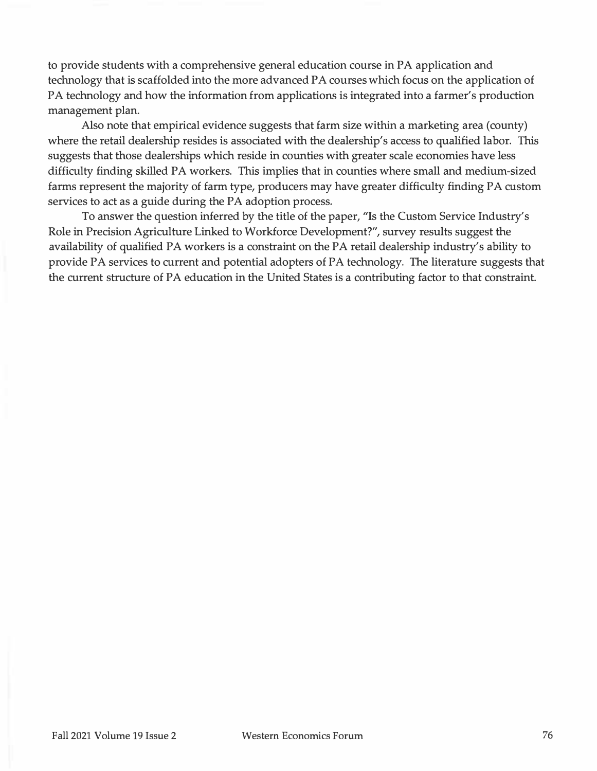to provide students with a comprehensive general education course in PA application and technology that is scaffolded into the more advanced PA courses which focus on the application of PA technology and how the information from applications is integrated into a farmer's production management plan.

Also note that empirical evidence suggests that farm size within a marketing area (county) where the retail dealership resides is associated with the dealership's access to qualified labor. This suggests that those dealerships which reside in counties with greater scale economies have less difficulty finding skilled PA workers. This implies that in counties where small and medium-sized farms represent the majority of farm type, producers may have greater difficulty finding PA custom services to act as a guide during the PA adoption process.

To answer the question inferred by the title of the paper, "Is the Custom Service Industry's Role in Precision Agriculture Linked to Workforce Development?", survey results suggest the availability of qualified PA workers is a constraint on the PA retail dealership industry's ability to provide PA services to current and potential adopters of PA technology. The literature suggests that the current structure of PA education in the United States is a contributing factor to that constraint.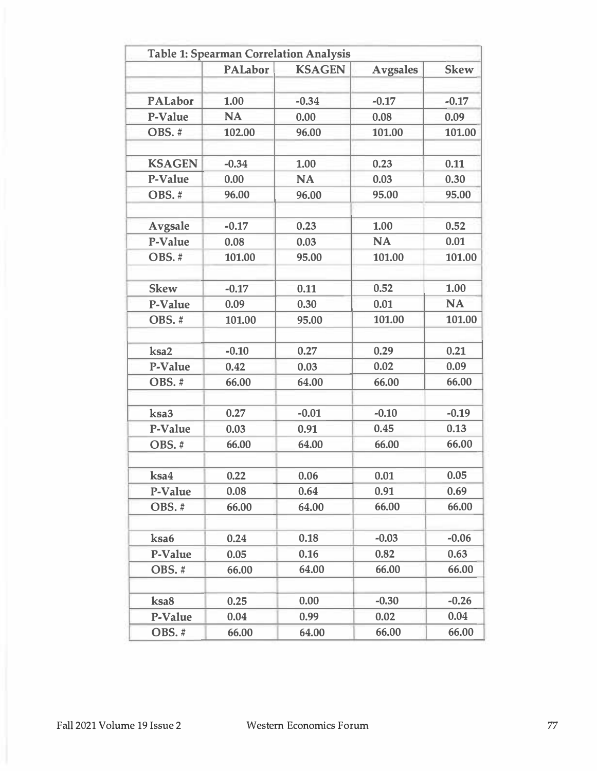|                | <b>PALabor</b> | <b>KSAGEN</b> | <b>Avgsales</b> | <b>Skew</b> |
|----------------|----------------|---------------|-----------------|-------------|
|                |                |               |                 |             |
| <b>PALabor</b> | 1.00           | $-0.34$       | $-0.17$         | $-0.17$     |
| P-Value        | <b>NA</b>      | 0.00          | 0.08            | 0.09        |
| OBS.#          | 102.00         | 96.00         | 101.00          | 101.00      |
| <b>KSAGEN</b>  | $-0.34$        | 1.00          | 0.23            | 0.11        |
| P-Value        | 0.00           | <b>NA</b>     | 0.03            | 0.30        |
| OBS.#          | 96.00          | 96.00         | 95.00           | 95.00       |
| <b>Avgsale</b> | $-0.17$        | 0.23          | 1.00            | 0.52        |
| P-Value        | 0.08           | 0.03          | <b>NA</b>       | 0.01        |
| OBS.#          | 101.00         | 95.00         | 101.00          | 101.00      |
| <b>Skew</b>    | $-0.17$        | 0.11          | 0.52            | 1.00        |
| P-Value        | 0.09           | 0.30          | 0.01            | <b>NA</b>   |
| OBS.#          | 101.00         | 95.00         | 101.00          | 101.00      |
| ksa2           | $-0.10$        | 0.27          | 0.29            | 0.21        |
| P-Value        | 0.42           | 0.03          | 0.02            | 0.09        |
| OBS.#          | 66.00          | 64.00         | 66.00           | 66.00       |
| ksa3           | 0.27           | $-0.01$       | $-0.10$         | $-0.19$     |
| P-Value        | 0.03           | 0.91          | 0.45            | 0.13        |
| OBS.#          | 66.00          | 64.00         | 66.00           | 66.00       |
| ksa4           | 0.22           | 0.06          | 0.01            | 0.05        |
| P-Value        | 0.08           | 0.64          | 0.91            | 0.69        |
| OBS.#          | 66.00          | 64.00         | 66.00           | 66.00       |
| ksa6           | 0.24           | 0.18          | $-0.03$         | $-0.06$     |
| P-Value        | 0.05           | 0.16          | 0.82            | 0.63        |
| OBS.#          | 66.00          | 64.00         | 66.00           | 66.00       |
| ksa8           | 0.25           | 0.00          | $-0.30$         | $-0.26$     |
| P-Value        | 0.04           | 0.99          | 0.02            | 0.04        |
| OBS.#          | 66.00          | 64.00         | 66.00           | 66.00       |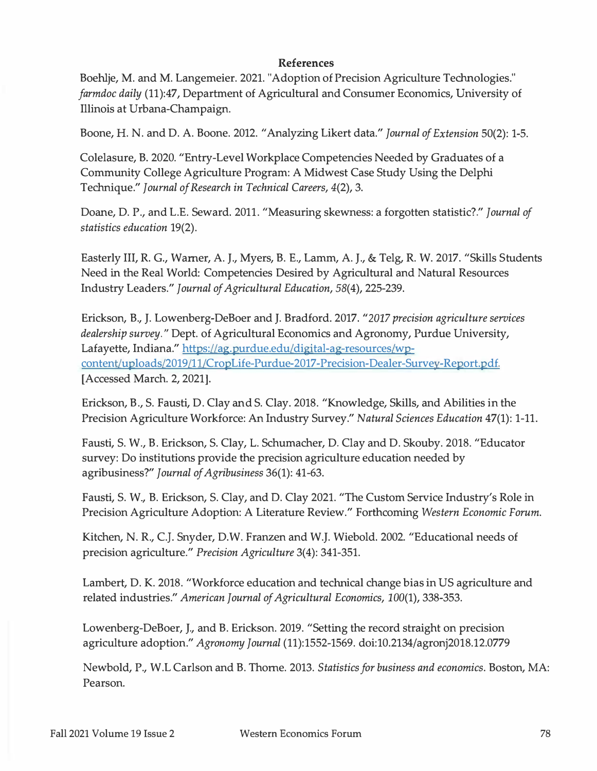#### **References**

**Boehlje, M. and M. Langemeier. 2021. "Adoption of Precision Agriculture Technologies."**  *farmdoc daily* **(11):47, Department of Agricultural and Consumer Economics, University of Illinois at Urbana-Champaign.** 

**Boone, H. N. and D. A. Boone. 2012. "Analyzing Likert data."** *Journal of Extension* **50(2): 1-5.** 

**Colelasure, B. 2020. "Entry-Level Workplace Competencies Needed by Graduates of a Community College Agriculture Program: A Midwest Case Study Using the Delphi Technique."** *Journal of Research in Technical Careers,* **4(2), 3.** 

**Doane, D. P., and L.E. Seward. 2011. "Measuring skewness: a forgotten statistic?."** *Journal of statistics education* **19(2).** 

**Easterly III, R. G., Warner, A. J., Myers, B. E., Lamm, A. J., & Telg, R. W. 2017. "Skills Students Need in the Real World: Competencies Desired by Agricultural and Natural Resources Industry Leaders."** *Journal of Agricultural Education,* **58(4), 225-239.** 

**Erickson, B., J. Lowenberg-DeBoer and J. Bradford. 2017.** *"2017 precision agriculture services dealership survey."* **Dept. of Agricultural Economics and Agronomy, Purdue University, Lafayette, Indiana." https://ag.purdue.edu/digital-ag-resources/wpcontent/uploads/2019/11/CropLife-Purdue-2017-Precision-Dealer-Survey-Report.pdf. [Accessed March. 2, 2021].** 

**Erickson, B., S. Fausti, D. Clay and S. Clay. 2018. "Knowledge, Skills, and Abilities in the Precision Agriculture Workforce: An Industry Survey."** *Natural Sciences Education* **47(1): 1-11.** 

**Fausti, S. W., B. Erickson, S. Clay, L. Schumacher, D. Clay and D. Skouby. 2018. "Educator survey: Do institutions provide the precision agriculture education needed by agribusiness?"** *Journal of Agribusiness* **36(1): 41-63.** 

**Fausti, S. W., B. Erickson, S. Clay, and D. Clay 2021. "The Custom Service Industry's Role in Precision Agriculture Adoption: A Literature Review." Forthcoming** *Western Economic Forum.* 

**Kitchen, N. R., C.J. Snyder, D.W. Franzen and W.J. Wiebold. 2002. "Educational needs of precision agriculture."** *Precision Agriculture* **3(4): 341-351.** 

**Lambert, D. K. 2018. "Workforce education and technical change bias in US agriculture and related industries."** *American Journal of Agricultural Economics,* **100(1), 338-353.** 

**Lowenberg-DeBoer, J., and B. Erickson. 2019. "Setting the record straight on precision agriculture adoption."** *Agronomy Journal* **(11):1552-1569. doi:10.2134/agronj2018.12.0779** 

**Newbold, P., W.L Carlson and B. Thome. 2013.** *Statistics for business and economics.* **Boston, MA: Pearson.**